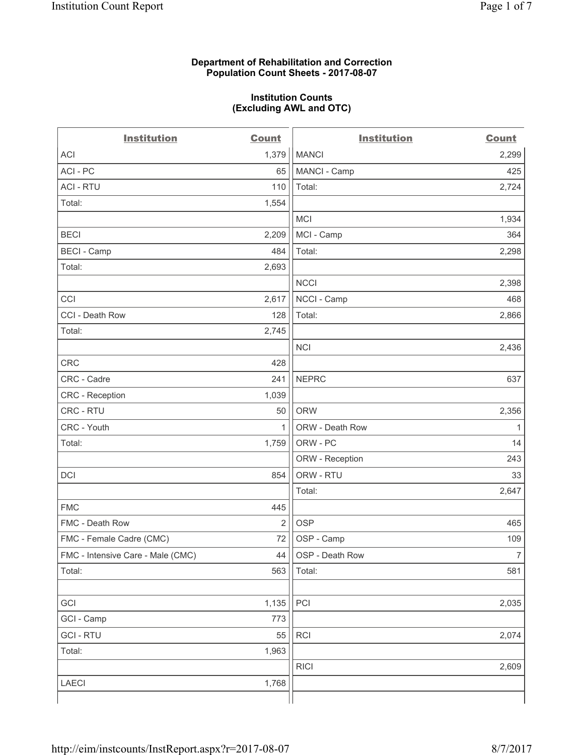## **Department of Rehabilitation and Correction Population Count Sheets - 2017-08-07**

#### **Institution Counts (Excluding AWL and OTC)**

 $-$ 

| <b>Institution</b>                | <b>Count</b>   | <b>Institution</b> | <b>Count</b>   |
|-----------------------------------|----------------|--------------------|----------------|
| <b>ACI</b>                        | 1,379          | <b>MANCI</b>       | 2,299          |
| ACI-PC                            | 65             | MANCI - Camp       | 425            |
| <b>ACI - RTU</b>                  | 110            | Total:             | 2,724          |
| Total:                            | 1,554          |                    |                |
|                                   |                | <b>MCI</b>         | 1,934          |
| <b>BECI</b>                       | 2,209          | MCI - Camp         | 364            |
| <b>BECI</b> - Camp                | 484            | Total:             | 2,298          |
| Total:                            | 2,693          |                    |                |
|                                   |                | <b>NCCI</b>        | 2,398          |
| CCI                               | 2,617          | NCCI - Camp        | 468            |
| CCI - Death Row                   | 128            | Total:             | 2,866          |
| Total:                            | 2,745          |                    |                |
|                                   |                | <b>NCI</b>         | 2,436          |
| <b>CRC</b>                        | 428            |                    |                |
| CRC - Cadre                       | 241            | <b>NEPRC</b>       | 637            |
| <b>CRC</b> - Reception            | 1,039          |                    |                |
| CRC - RTU                         | 50             | <b>ORW</b>         | 2,356          |
| CRC - Youth                       | 1              | ORW - Death Row    | 1              |
| Total:                            | 1,759          | ORW - PC           | 14             |
|                                   |                | ORW - Reception    | 243            |
| DCI                               | 854            | ORW - RTU          | 33             |
|                                   |                | Total:             | 2,647          |
| <b>FMC</b>                        | 445            |                    |                |
| FMC - Death Row                   | $\overline{2}$ | <b>OSP</b>         | 465            |
| FMC - Female Cadre (CMC)          | 72             | OSP - Camp         | 109            |
| FMC - Intensive Care - Male (CMC) | 44             | OSP - Death Row    | $\overline{7}$ |
| Total:                            | 563            | Total:             | 581            |
|                                   |                |                    |                |
| GCI                               | 1,135          | PCI                | 2,035          |
| GCI - Camp                        | 773            |                    |                |
| <b>GCI-RTU</b>                    | 55             | RCI                | 2,074          |
| Total:                            | 1,963          |                    |                |
|                                   |                | <b>RICI</b>        | 2,609          |
| LAECI                             | 1,768          |                    |                |
|                                   |                |                    |                |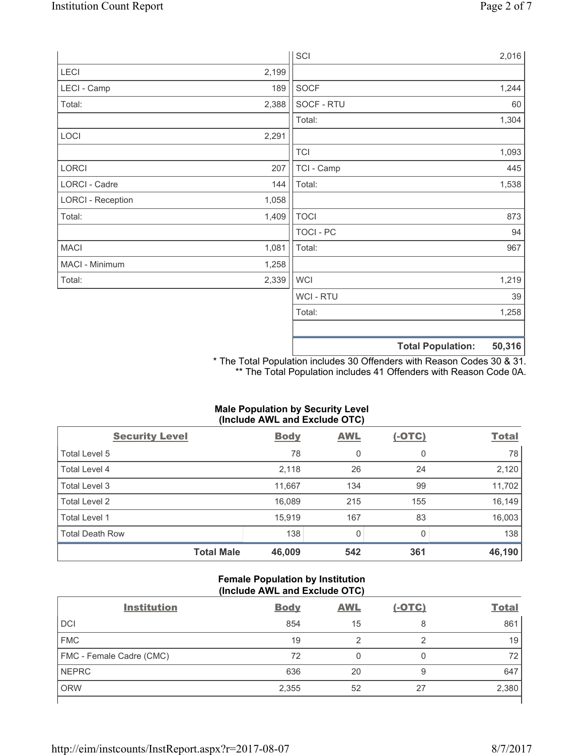|                          |       | SCI            |                          | 2,016  |
|--------------------------|-------|----------------|--------------------------|--------|
| LECI                     | 2,199 |                |                          |        |
| LECI - Camp              | 189   | SOCF           |                          | 1,244  |
| Total:                   | 2,388 | SOCF - RTU     |                          | 60     |
|                          |       | Total:         |                          | 1,304  |
| LOCI                     | 2,291 |                |                          |        |
|                          |       | <b>TCI</b>     |                          | 1,093  |
| LORCI                    | 207   | TCI - Camp     |                          | 445    |
| LORCI - Cadre            | 144   | Total:         |                          | 1,538  |
| <b>LORCI - Reception</b> | 1,058 |                |                          |        |
| Total:                   | 1,409 | <b>TOCI</b>    |                          | 873    |
|                          |       | TOCI - PC      |                          | 94     |
| <b>MACI</b>              | 1,081 | Total:         |                          | 967    |
| MACI - Minimum           | 1,258 |                |                          |        |
| Total:                   | 2,339 | <b>WCI</b>     |                          | 1,219  |
|                          |       | <b>WCI-RTU</b> |                          | 39     |
|                          |       | Total:         |                          | 1,258  |
|                          |       |                |                          |        |
|                          |       |                | <b>Total Population:</b> | 50,316 |

\* The Total Population includes 30 Offenders with Reason Codes 30 & 31. \*\* The Total Population includes 41 Offenders with Reason Code 0A.

# **Male Population by Security Level (Include AWL and Exclude OTC)**

| $\cdot$<br><b>Security Level</b> | <b>Body</b> | . .<br><b>AWL</b> | $(-OTC)$ | <b>Total</b> |
|----------------------------------|-------------|-------------------|----------|--------------|
| Total Level 5                    | 78          | 0                 | 0        | 78           |
| Total Level 4                    | 2,118       | 26                | 24       | 2,120        |
| Total Level 3                    | 11,667      | 134               | 99       | 11,702       |
| Total Level 2                    | 16,089      | 215               | 155      | 16,149       |
| <b>Total Level 1</b>             | 15,919      | 167               | 83       | 16,003       |
| <b>Total Death Row</b>           | 138         | 0                 |          | 138          |
| <b>Total Male</b>                | 46,009      | 542               | 361      | 46,190       |

# **Female Population by Institution (Include AWL and Exclude OTC)**

| <b>Institution</b>       | <b>Body</b> | <b>AWL</b> | <u>(-OTC)</u> | <b>Total</b> |
|--------------------------|-------------|------------|---------------|--------------|
| <b>DCI</b>               | 854         | 15         | 8             | 861          |
| <b>FMC</b>               | 19          |            |               | 19           |
| FMC - Female Cadre (CMC) | 72          |            | 0             | 72           |
| <b>NEPRC</b>             | 636         | 20         | 9             | 647          |
| <b>ORW</b>               | 2,355       | 52         | 27            | 2,380        |
|                          |             |            |               |              |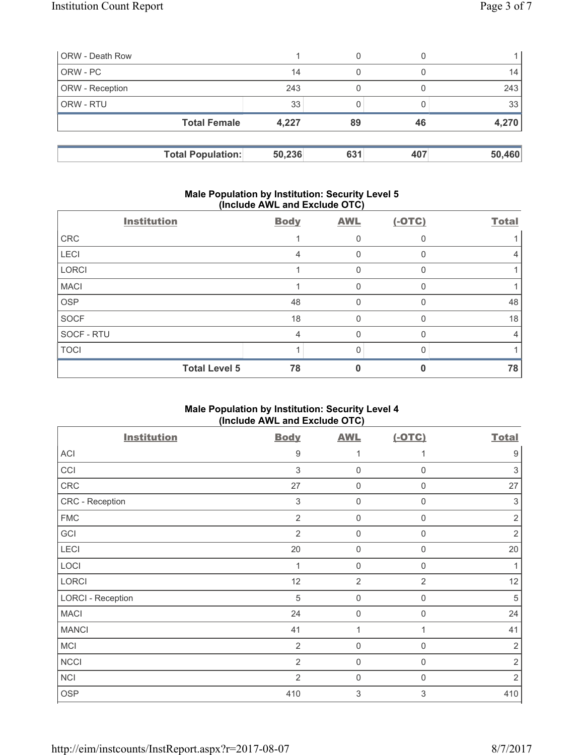| <b>ORW</b> - Death Row |                          |        | 0   |     |        |
|------------------------|--------------------------|--------|-----|-----|--------|
| ORW - PC               |                          | 14     | 0   |     | 14     |
| <b>ORW</b> - Reception |                          | 243    |     |     | 243    |
| <b>ORW - RTU</b>       |                          | 33     |     |     | 33     |
|                        | <b>Total Female</b>      | 4,227  | 89  | 46  | 4,270  |
|                        |                          |        |     |     |        |
|                        | <b>Total Population:</b> | 50,236 | 631 | 407 | 50,460 |

# **Male Population by Institution: Security Level 5 (Include AWL and Exclude OTC)**

|             | <b>Institution</b>   | <b>Body</b> | <b>AWL</b>   | $(-OTC)$ | <b>Total</b> |
|-------------|----------------------|-------------|--------------|----------|--------------|
| CRC         |                      |             | 0            |          |              |
| <b>LECI</b> |                      | 4           | 0            |          | 4            |
| LORCI       |                      |             | 0            |          |              |
| <b>MACI</b> |                      |             | 0            |          |              |
| <b>OSP</b>  |                      | 48          | 0            |          | 48           |
| <b>SOCF</b> |                      | 18          | $\mathbf{0}$ | O        | 18           |
| SOCF - RTU  |                      | 4           | 0            |          | 4            |
| <b>TOCI</b> |                      |             | U            |          |              |
|             | <b>Total Level 5</b> | 78          |              |          | 78           |

# **Male Population by Institution: Security Level 4 (Include AWL and Exclude OTC)**

| <b>Institution</b>       | <b>Body</b>               | <b>AWL</b>     | $(-OTC)$         | <b>Total</b>   |
|--------------------------|---------------------------|----------------|------------------|----------------|
| ACI                      | 9                         |                |                  | 9              |
| CCI                      | $\ensuremath{\mathsf{3}}$ | 0              | $\boldsymbol{0}$ | 3              |
| CRC                      | 27                        | 0              | $\mathbf 0$      | 27             |
| CRC - Reception          | 3                         | $\mathbf 0$    | $\mathbf 0$      | 3              |
| <b>FMC</b>               | $\overline{2}$            | $\mathbf 0$    | $\Omega$         | $\overline{2}$ |
| GCI                      | $\overline{2}$            | 0              | $\Omega$         | $\overline{2}$ |
| LECI                     | 20                        | 0              | $\mathbf{0}$     | 20             |
| LOCI                     | $\mathbf 1$               | 0              | $\Omega$         |                |
| LORCI                    | 12                        | $\overline{2}$ | $\overline{2}$   | 12             |
| <b>LORCI - Reception</b> | 5                         | $\mathbf 0$    | $\mathbf 0$      | 5              |
| <b>MACI</b>              | 24                        | 0              | $\Omega$         | 24             |
| <b>MANCI</b>             | 41                        | 1              |                  | 41             |
| <b>MCI</b>               | $\overline{2}$            | $\mathbf 0$    | $\Omega$         | 2              |
| <b>NCCI</b>              | 2                         | $\mathbf 0$    | $\Omega$         | $\overline{2}$ |
| <b>NCI</b>               | $\overline{2}$            | $\mathbf 0$    | $\Omega$         | 2              |
| <b>OSP</b>               | 410                       | 3              | 3                | 410            |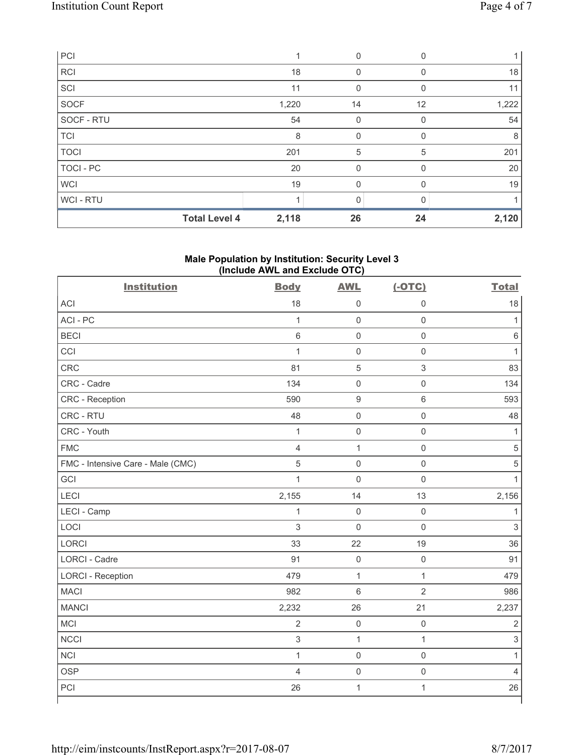| PCI                  |       | 0        | <sup>0</sup> |       |
|----------------------|-------|----------|--------------|-------|
| <b>RCI</b>           | 18    | $\Omega$ |              | 18    |
| SCI                  | 11    | 0        | $\Omega$     | 11    |
| SOCF                 | 1,220 | 14       | 12           | 1,222 |
| SOCF - RTU           | 54    | 0        | $\Omega$     | 54    |
| <b>TCI</b>           | 8     | 0        | <sup>n</sup> | 8     |
| <b>TOCI</b>          | 201   | 5        | 5            | 201   |
| <b>TOCI - PC</b>     | 20    | 0        | 0            | 20    |
| <b>WCI</b>           | 19    | 0        | $\Omega$     | 19    |
| WCI - RTU            |       |          |              |       |
| <b>Total Level 4</b> | 2,118 | 26       | 24           | 2,120 |

# **Male Population by Institution: Security Level 3 (Include AWL and Exclude OTC)**

| <b>Institution</b>                | <b>Body</b>    | <b>AWL</b>          | $(-OTC)$            | <b>Total</b>   |
|-----------------------------------|----------------|---------------------|---------------------|----------------|
| <b>ACI</b>                        | 18             | $\mathsf{O}\xspace$ | 0                   | 18             |
| ACI-PC                            | $\mathbf{1}$   | $\mathbf 0$         | $\mathsf 0$         | $\mathbf{1}$   |
| <b>BECI</b>                       | $\,6\,$        | $\mathsf 0$         | $\mathsf 0$         | $\,6$          |
| CCI                               | $\mathbf{1}$   | $\mathbf 0$         | $\mathsf 0$         | 1              |
| CRC                               | 81             | $\,$ 5 $\,$         | $\sqrt{3}$          | 83             |
| CRC - Cadre                       | 134            | $\mathsf{O}\xspace$ | $\mathsf 0$         | 134            |
| CRC - Reception                   | 590            | $\hbox{9}$          | $\,6\,$             | 593            |
| CRC - RTU                         | 48             | $\mathsf 0$         | $\mathsf{O}\xspace$ | 48             |
| CRC - Youth                       | $\mathbf{1}$   | $\mathbf 0$         | $\mathsf 0$         | 1              |
| <b>FMC</b>                        | $\overline{4}$ | $\mathbf 1$         | $\mathsf 0$         | $\sqrt{5}$     |
| FMC - Intensive Care - Male (CMC) | 5              | $\mathsf{O}\xspace$ | $\mathsf 0$         | $\sqrt{5}$     |
| GCI                               | $\mathbf{1}$   | $\mathsf{O}\xspace$ | $\mathsf 0$         | 1              |
| LECI                              | 2,155          | 14                  | 13                  | 2,156          |
| LECI - Camp                       | $\mathbf{1}$   | $\mathbf 0$         | $\mathbf 0$         | 1              |
| LOCI                              | 3              | $\mathbf 0$         | $\mathbf 0$         | $\overline{3}$ |
| <b>LORCI</b>                      | 33             | 22                  | 19                  | 36             |
| LORCI - Cadre                     | 91             | $\mathsf{O}\xspace$ | $\mathsf 0$         | 91             |
| <b>LORCI - Reception</b>          | 479            | $\mathbf{1}$        | $\mathbf{1}$        | 479            |
| <b>MACI</b>                       | 982            | $6\phantom{1}$      | $\overline{2}$      | 986            |
| <b>MANCI</b>                      | 2,232          | 26                  | 21                  | 2,237          |
| MCI                               | $\overline{2}$ | $\mathsf{O}\xspace$ | $\mathsf 0$         | $\sqrt{2}$     |
| <b>NCCI</b>                       | $\,$ 3 $\,$    | $\mathbf{1}$        | $\mathbf{1}$        | $\mathsf 3$    |
| <b>NCI</b>                        | $\mathbf{1}$   | $\mathsf{O}\xspace$ | $\mathsf 0$         | $\mathbf{1}$   |
| <b>OSP</b>                        | $\overline{4}$ | $\mathbf 0$         | $\mathsf 0$         | $\overline{4}$ |
| PCI                               | 26             | $\mathbf{1}$        | $\mathbf{1}$        | 26             |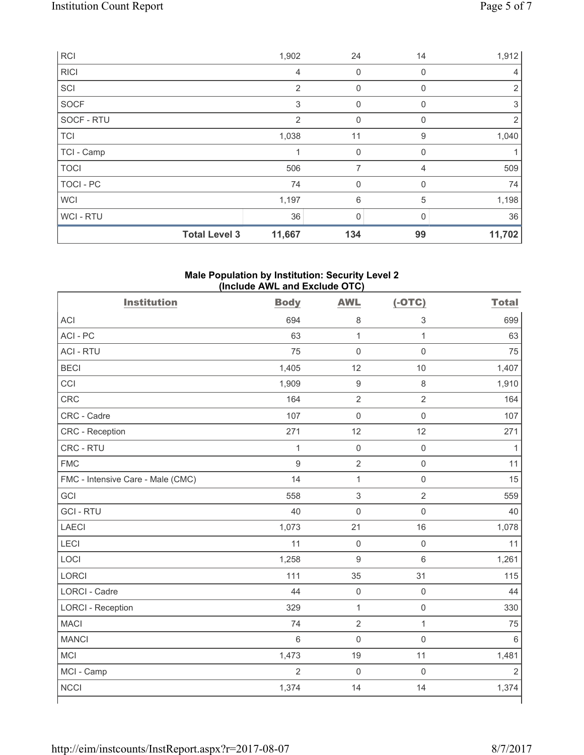| RCI         |                      | 1,902          | 24           | 14           | 1,912  |
|-------------|----------------------|----------------|--------------|--------------|--------|
| <b>RICI</b> |                      | 4              | 0            | 0            | 4      |
| SCI         |                      | $\overline{2}$ | $\mathbf 0$  | 0            | 2      |
| <b>SOCF</b> |                      | 3              | 0            | 0            | 3      |
| SOCF - RTU  |                      | $\overline{2}$ | $\mathbf 0$  | 0            | 2      |
| <b>TCI</b>  |                      | 1,038          | 11           | 9            | 1,040  |
| TCI - Camp  |                      |                | $\mathbf 0$  | 0            |        |
| <b>TOCI</b> |                      | 506            | 7            | 4            | 509    |
| TOCI - PC   |                      | 74             | 0            | 0            | 74     |
| <b>WCI</b>  |                      | 1,197          | 6            | 5            | 1,198  |
| WCI - RTU   |                      | 36             | $\mathbf{0}$ | <sup>0</sup> | 36     |
|             | <b>Total Level 3</b> | 11,667         | 134          | 99           | 11,702 |

## **Male Population by Institution: Security Level 2 (Include AWL and Exclude OTC)**

| <b>Institution</b>                | <b>Body</b>    | <b>AWL</b>          | $(-OTC)$            | <b>Total</b>   |
|-----------------------------------|----------------|---------------------|---------------------|----------------|
| <b>ACI</b>                        | 694            | $\,8\,$             | $\mathsf 3$         | 699            |
| ACI-PC                            | 63             | $\mathbf{1}$        | $\mathbf{1}$        | 63             |
| <b>ACI - RTU</b>                  | 75             | $\mathbf 0$         | $\mathbf 0$         | 75             |
| <b>BECI</b>                       | 1,405          | 12                  | 10                  | 1,407          |
| CCI                               | 1,909          | $\boldsymbol{9}$    | $\,8\,$             | 1,910          |
| <b>CRC</b>                        | 164            | $\overline{2}$      | $\overline{2}$      | 164            |
| CRC - Cadre                       | 107            | $\mathbf 0$         | $\mathsf{O}\xspace$ | 107            |
| CRC - Reception                   | 271            | 12                  | 12                  | 271            |
| CRC - RTU                         | $\mathbf{1}$   | $\mathbf 0$         | $\mathsf 0$         | 1              |
| <b>FMC</b>                        | 9              | $\mathbf 2$         | $\mathbf 0$         | 11             |
| FMC - Intensive Care - Male (CMC) | 14             | $\mathbf{1}$        | $\mathsf 0$         | 15             |
| GCI                               | 558            | $\sqrt{3}$          | $\overline{2}$      | 559            |
| <b>GCI-RTU</b>                    | 40             | $\mathbf 0$         | $\mathsf 0$         | 40             |
| <b>LAECI</b>                      | 1,073          | 21                  | 16                  | 1,078          |
| LECI                              | 11             | $\mathsf{O}\xspace$ | $\mathsf 0$         | 11             |
| LOCI                              | 1,258          | $\mathsf g$         | $6\phantom{1}$      | 1,261          |
| <b>LORCI</b>                      | 111            | 35                  | 31                  | 115            |
| <b>LORCI - Cadre</b>              | 44             | $\mathsf{O}\xspace$ | $\mathsf 0$         | 44             |
| <b>LORCI - Reception</b>          | 329            | $\mathbf{1}$        | $\mathsf{O}\xspace$ | 330            |
| <b>MACI</b>                       | 74             | $\overline{2}$      | $\mathbf{1}$        | 75             |
| <b>MANCI</b>                      | 6              | $\mathbf 0$         | $\mathbf 0$         | $6\,$          |
| <b>MCI</b>                        | 1,473          | 19                  | 11                  | 1,481          |
| MCI - Camp                        | $\overline{2}$ | $\mathbf 0$         | $\mathbf 0$         | $\overline{2}$ |
| <b>NCCI</b>                       | 1,374          | 14                  | 14                  | 1,374          |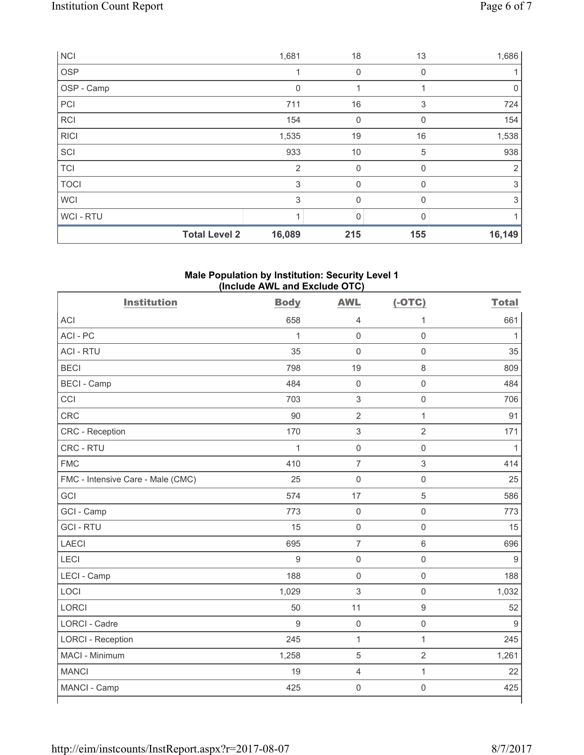| <b>NCI</b>  |                      | 1,681          | 18           | 13  | 1,686          |
|-------------|----------------------|----------------|--------------|-----|----------------|
| OSP         |                      |                | 0            | 0   |                |
| OSP - Camp  |                      | $\Omega$       | 1            |     | $\mathbf 0$    |
| PCI         |                      | 711            | 16           | 3   | 724            |
| <b>RCI</b>  |                      | 154            | 0            | 0   | 154            |
| <b>RICI</b> |                      | 1,535          | 19           | 16  | 1,538          |
| SCI         |                      | 933            | 10           | 5   | 938            |
| <b>TCI</b>  |                      | $\overline{2}$ | $\mathbf 0$  | 0   | $\overline{2}$ |
| <b>TOCI</b> |                      | 3              | $\mathbf 0$  | 0   | 3              |
| <b>WCI</b>  |                      | 3              | $\mathbf{0}$ | 0   | 3              |
| WCI - RTU   |                      |                | $\mathbf{0}$ | O   |                |
|             | <b>Total Level 2</b> | 16,089         | 215          | 155 | 16,149         |

# **Male Population by Institution: Security Level 1 (Include AWL and Exclude OTC)**

| <b>Institution</b>                | <b>Body</b>  | <b>AWL</b>                | $(-OTC)$            | <b>Total</b> |
|-----------------------------------|--------------|---------------------------|---------------------|--------------|
| <b>ACI</b>                        | 658          | $\overline{4}$            | 1                   | 661          |
| ACI-PC                            | $\mathbf{1}$ | $\mathbf 0$               | $\mathbf 0$         | $\mathbf{1}$ |
| <b>ACI - RTU</b>                  | 35           | $\mathbf 0$               | $\mathsf 0$         | 35           |
| <b>BECI</b>                       | 798          | 19                        | $\,8\,$             | 809          |
| <b>BECI - Camp</b>                | 484          | $\mathbf 0$               | $\mathbf 0$         | 484          |
| CCI                               | 703          | $\ensuremath{\mathsf{3}}$ | $\mathsf 0$         | 706          |
| <b>CRC</b>                        | 90           | $\sqrt{2}$                | $\mathbf{1}$        | 91           |
| CRC - Reception                   | 170          | $\ensuremath{\mathsf{3}}$ | $\overline{2}$      | 171          |
| CRC - RTU                         | $\mathbf{1}$ | $\mathbf 0$               | $\mathsf 0$         | $\mathbf{1}$ |
| <b>FMC</b>                        | 410          | $\overline{7}$            | 3                   | 414          |
| FMC - Intensive Care - Male (CMC) | 25           | $\mathsf{O}\xspace$       | $\mathsf 0$         | 25           |
| GCI                               | 574          | 17                        | $\overline{5}$      | 586          |
| GCI - Camp                        | 773          | $\mathbf 0$               | $\mathsf{O}\xspace$ | 773          |
| <b>GCI-RTU</b>                    | 15           | $\mathsf{O}\xspace$       | $\mathbf 0$         | 15           |
| <b>LAECI</b>                      | 695          | $\overline{7}$            | $\,6\,$             | 696          |
| <b>LECI</b>                       | 9            | $\mathbf 0$               | $\mathsf 0$         | 9            |
| LECI - Camp                       | 188          | $\mathbf 0$               | $\mathsf{O}\xspace$ | 188          |
| LOCI                              | 1,029        | $\mathsf 3$               | $\mathsf 0$         | 1,032        |
| <b>LORCI</b>                      | 50           | 11                        | $\boldsymbol{9}$    | 52           |
| <b>LORCI - Cadre</b>              | 9            | $\mathbf 0$               | $\mathsf 0$         | 9            |
| <b>LORCI - Reception</b>          | 245          | $\mathbf{1}$              | $\mathbf{1}$        | 245          |
| MACI - Minimum                    | 1,258        | $\,$ 5 $\,$               | $\sqrt{2}$          | 1,261        |
| <b>MANCI</b>                      | 19           | $\overline{4}$            | $\mathbf{1}$        | 22           |
| MANCI - Camp                      | 425          | $\mathbf 0$               | $\mathsf{O}\xspace$ | 425          |